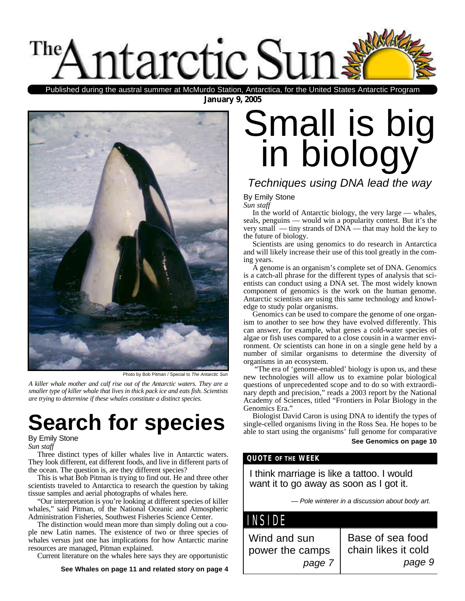

**January 9, 2005** Published during the austral summer at McMurdo Station, Antarctica, for the United States Antarctic Program



Photo by Bob Pitman / Special to *The Antarctic Sun*

*A killer whale mother and calf rise out of the Antarctic waters. They are a smaller type of killer whale that lives in thick pack ice and eats fish. Scientists are trying to determine if these whales constitute a distinct species.*

# **Search for species**

### By Emily Stone

*Sun staff*

Three distinct types of killer whales live in Antarctic waters. They look different, eat different foods, and live in different parts of the ocean. The question is, are they different species?

This is what Bob Pitman is trying to find out. He and three other scientists traveled to Antarctica to research the question by taking tissue samples and aerial photographs of whales here.

"Our interpretation is you're looking at different species of killer whales," said Pitman, of the National Oceanic and Atmospheric Administration Fisheries, Southwest Fisheries Science Center.

The distinction would mean more than simply doling out a couple new Latin names. The existence of two or three species of whales versus just one has implications for how Antarctic marine resources are managed, Pitman explained.

Current literature on the whales here says they are opportunistic

**See Whales on page 11 and related story on page 4**

# Small is big in biology

## *Techniques using DNA lead the way*

#### By Emily Stone *Sun staff*

In the world of Antarctic biology, the very large — whales, seals, penguins — would win a popularity contest. But it's the very small — tiny strands of DNA — that may hold the key to the future of biology.

Scientists are using genomics to do research in Antarctica and will likely increase their use of this tool greatly in the coming years.

A genome is an organism's complete set of DNA. Genomics is a catch-all phrase for the different types of analysis that scientists can conduct using a DNA set. The most widely known component of genomics is the work on the human genome. Antarctic scientists are using this same technology and knowledge to study polar organisms.

Genomics can be used to compare the genome of one organism to another to see how they have evolved differently. This can answer, for example, what genes a cold-water species of algae or fish uses compared to a close cousin in a warmer environment. Or scientists can hone in on a single gene held by a number of similar organisms to determine the diversity of organisms in an ecosystem.

"The era of 'genome-enabled' biology is upon us, and these new technologies will allow us to examine polar biological questions of unprecedented scope and to do so with extraordinary depth and precision," reads a 2003 report by the National Academy of Sciences, titled "Frontiers in Polar Biology in the Genomics Era."

Biologist David Caron is using DNA to identify the types of single-celled organisms living in the Ross Sea. He hopes to be able to start using the organisms' full genome for comparative **See Genomics on page 10**

#### **QUOTE OF THE WEEK**

I think marriage is like a tattoo. I would want it to go away as soon as I got it.

*— Pole winterer in a discussion about body art.*

| NSIDE                                     |                                                   |
|-------------------------------------------|---------------------------------------------------|
| Wind and sun<br>power the camps<br>page 7 | Base of sea food<br>chain likes it cold<br>page 9 |
|                                           |                                                   |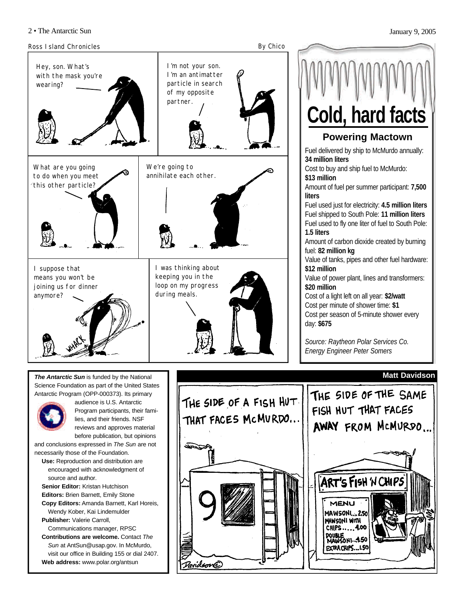Ross Island Chronicles **By Chico** Hey, son. What's with the mask you're wearing? I'm not your son. I'm an antimatter particle in search of my opposite partner. What are you going to do when you meet this other particle? We're going to annihilate each other. I suppose that means you won't be joining us for dinner anymore? I was thinking about keeping you in the loop on my progress during meals.

*The Antarctic Sun* is funded by the National Science Foundation as part of the United States Antarctic Program (OPP-000373). Its primary



audience is U.S. Antarctic Program participants, their families, and their friends. NSF reviews and approves material before publication, but opinions

and conclusions expressed in *The Sun* are not necessarily those of the Foundation.

**Use:** Reproduction and distribution are encouraged with acknowledgment of source and author.

**Senior Editor:** Kristan Hutchison **Editors:** Brien Barnett, Emily Stone **Copy Editors:** Amanda Barnett, Karl Horeis,

Wendy Kober, Kai Lindemulder **Publisher:** Valerie Carroll,

Communications manager, RPSC **Contributions are welcome.** Contact *The*

*Sun* at AntSun@usap.gov. In McMurdo, visit our office in Building 155 or dial 2407. **Web address:** www.polar.org/antsun



**Powering Mactown**

**Cold, hard facts**

*Source: Raytheon Polar Services Co. Energy Engineer Peter Somers*

#### **Matt Davidson**

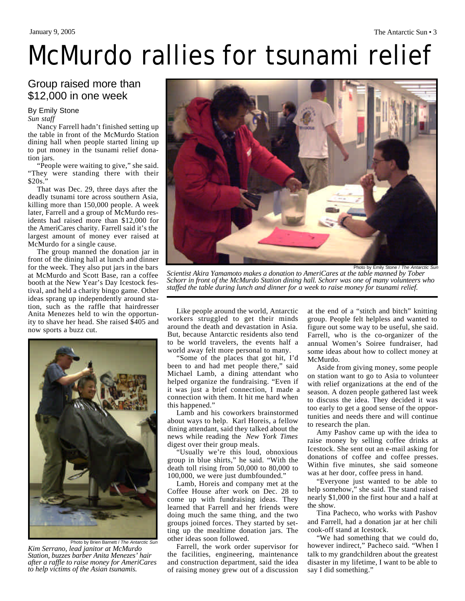## Group raised more than \$12,000 in one week

#### By Emily Stone

*Sun staff*

Nancy Farrell hadn't finished setting up the table in front of the McMurdo Station dining hall when people started lining up to put money in the tsunami relief donation jars.

"People were waiting to give," she said. "They were standing there with their \$20s."

That was Dec. 29, three days after the deadly tsunami tore across southern Asia, killing more than 150,000 people. A week later, Farrell and a group of McMurdo residents had raised more than \$12,000 for the AmeriCares charity. Farrell said it's the largest amount of money ever raised at McMurdo for a single cause.

The group manned the donation jar in front of the dining hall at lunch and dinner for the week. They also put jars in the bars at McMurdo and Scott Base, ran a coffee booth at the New Year's Day Icestock festival, and held a charity bingo game. Other ideas sprang up independently around station, such as the raffle that hairdresser Anita Menezes held to win the opportunity to shave her head. She raised \$405 and now sports a buzz cut.



Photo by Brien Barnett / *The Antarctic Sun Kim Serrano, lead janitor at McMurdo Station, buzzes barber Anita Menezes' hair after a raffle to raise money for AmeriCares to help victims of the Asian tsunamis.* 



*Scientist Akira Yamamoto makes a donation to AmeriCares at the table manned by Tober Schorr in front of the McMurdo Station dining hall. Schorr was one of many volunteers who staffed the table during lunch and dinner for a week to raise money for tsunami relief.*

Like people around the world, Antarctic workers struggled to get their minds around the death and devastation in Asia. But, because Antarctic residents also tend to be world travelers, the events half a world away felt more personal to many.

"Some of the places that got hit, I'd been to and had met people there," said Michael Lamb, a dining attendant who helped organize the fundraising. "Even if it was just a brief connection, I made a connection with them. It hit me hard when this happened."

Lamb and his coworkers brainstormed about ways to help. Karl Horeis, a fellow dining attendant, said they talked about the news while reading the *New York Times* digest over their group meals.

"Usually we're this loud, obnoxious group in blue shirts," he said. "With the death toll rising from 50,000 to 80,000 to 100,000, we were just dumbfounded."

Lamb, Horeis and company met at the Coffee House after work on Dec. 28 to come up with fundraising ideas. They learned that Farrell and her friends were doing much the same thing, and the two groups joined forces. They started by setting up the mealtime donation jars. The other ideas soon followed.

Farrell, the work order supervisor for the facilities, engineering, maintenance and construction department, said the idea of raising money grew out of a discussion at the end of a "stitch and bitch" knitting group. People felt helpless and wanted to figure out some way to be useful, she said. Farrell, who is the co-organizer of the annual Women's Soiree fundraiser, had some ideas about how to collect money at McMurdo.

Aside from giving money, some people on station want to go to Asia to volunteer with relief organizations at the end of the season. A dozen people gathered last week to discuss the idea. They decided it was too early to get a good sense of the opportunities and needs there and will continue to research the plan.

Amy Pashov came up with the idea to raise money by selling coffee drinks at Icestock. She sent out an e-mail asking for donations of coffee and coffee presses. Within five minutes, she said someone was at her door, coffee press in hand.

"Everyone just wanted to be able to help somehow," she said. The stand raised nearly \$1,000 in the first hour and a half at the show.

Tina Pacheco, who works with Pashov and Farrell, had a donation jar at her chili cook-off stand at Icestock.

"We had something that we could do, however indirect," Pacheco said. "When I talk to my grandchildren about the greatest disaster in my lifetime, I want to be able to say I did something."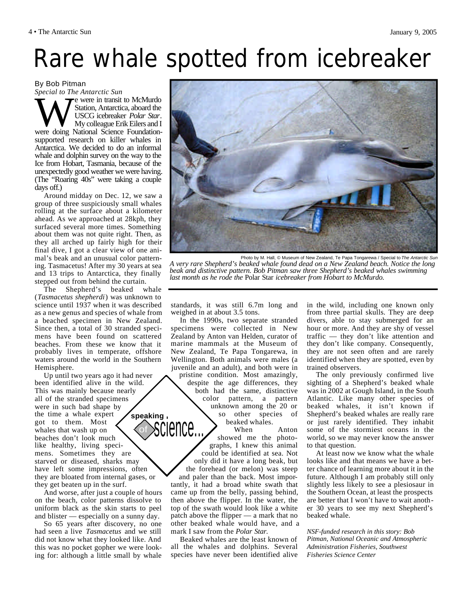# Rare whale spotted from icebreaker

By Bob Pitman

*Special to The Antarctic Sun* Special to The Amarctic Sun<br>Station, Antarctica, aboard the<br>USCG icebreaker Polar Star.<br>My colleague Erik Eilers and I<br>were doing National Science Foundatione were in transit to McMurdo Station, Antarctica, aboard the USCG icebreaker *Polar Star*. My colleague Erik Eilers and I supported research on killer whales in Antarctica. We decided to do an informal whale and dolphin survey on the way to the Ice from Hobart, Tasmania, because of the unexpectedly good weather we were having. (The "Roaring 40s" were taking a couple days off.)

Around midday on Dec. 12, we saw a group of three suspiciously small whales rolling at the surface about a kilometer ahead. As we approached at 28kph, they surfaced several more times. Something about them was not quite right. Then, as they all arched up fairly high for their final dive, I got a clear view of one animal's beak and an unusual color patterning. Tasmacetus! After my 30 years at sea and 13 trips to Antarctica, they finally stepped out from behind the curtain.

The Shepherd's beaked whale (*Tasmacetus shepherdi*) was unknown to science until 1937 when it was described as a new genus and species of whale from a beached specimen in New Zealand. Since then, a total of 30 stranded specimens have been found on scattered beaches. From these we know that it probably lives in temperate, offshore waters around the world in the Southern Hemisphere.

Up until two years ago it had never been identified alive in the wild. This was mainly because nearly all of the stranded specimens were in such bad shape by the time a whale expert got to them. Most whales that wash up on beaches don't look much like healthy, living specimens. Sometimes they are starved or diseased, sharks may have left some impressions, often they are bloated from internal gases, or they get beaten up in the surf. **speaking**

And worse, after just a couple of hours on the beach, color patterns dissolve to uniform black as the skin starts to peel and blister — especially on a sunny day.

So 65 years after discovery, no one had seen a live *Tasmacetus* and we still did not know what they looked like. And this was no pocket gopher we were looking for: although a little small by whale



*A very rare Shepherd's beaked whale found dead on a New Zealand beach. Notice the long beak and distinctive pattern. Bob Pitman saw three Shepherd's beaked whales swimming last month as he rode the* Polar Star *icebreaker from Hobart to McMurdo.*

standards, it was still 6.7m long and weighed in at about 3.5 tons.

In the 1990s, two separate stranded specimens were collected in New Zealand by Anton van Helden, curator of marine mammals at the Museum of New Zealand, Te Papa Tongarewa, in Wellington. Both animals were males (a juvenile and an adult), and both were in

pristine condition. Most amazingly, despite the age differences, they both had the same, distinctive color pattern, a pattern unknown among the 20 or so other species of beaked whales.<br>When

Anton showed me the photographs, I knew this animal could be identified at sea. Not only did it have a long beak, but the forehead (or melon) was steep and paler than the back. Most importantly, it had a broad white swath that came up from the belly, passing behind, then above the flipper. In the water, the top of the swath would look like a white patch above the flipper — a mark that no other beaked whale would have, and a mark I saw from the *Polar Star.* cience..

Beaked whales are the least known of all the whales and dolphins. Several species have never been identified alive in the wild, including one known only from three partial skulls. They are deep divers, able to stay submerged for an hour or more. And they are shy of vessel traffic — they don't like attention and they don't like company. Consequently, they are not seen often and are rarely identified when they are spotted, even by trained observers.

The only previously confirmed live sighting of a Shepherd's beaked whale was in 2002 at Gough Island, in the South Atlantic. Like many other species of beaked whales, it isn't known if Shepherd's beaked whales are really rare or just rarely identified. They inhabit some of the stormiest oceans in the world, so we may never know the answer to that question.

At least now we know what the whale looks like and that means we have a better chance of learning more about it in the future. Although I am probably still only slightly less likely to see a plesiosaur in the Southern Ocean, at least the prospects are better that I won't have to wait another 30 years to see my next Shepherd's beaked whale.

*NSF-funded research in this story: Bob Pitman, National Oceanic and Atmospheric Administration Fisheries, Southwest Fisheries Science Center*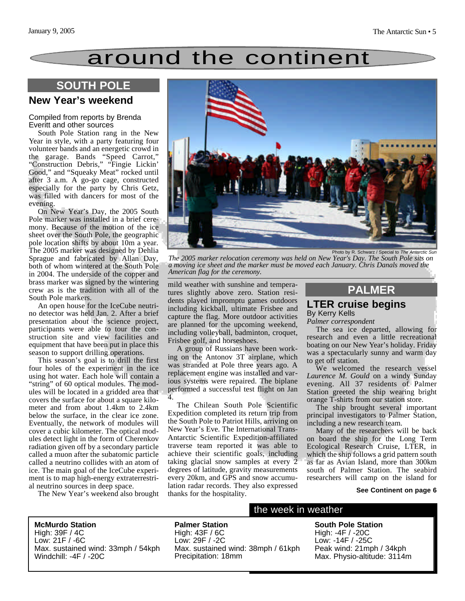# around the continent

## **SOUTH POLE**

### **New Year's weekend**

#### Compiled from reports by Brenda Everitt and other sources

South Pole Station rang in the New Year in style, with a party featuring four volunteer bands and an energetic crowd in the garage. Bands "Speed Carrot," "Construction Debris," "Fingie Lickin' Good," and "Squeaky Meat" rocked until after 3 a.m. A go-go cage, constructed especially for the party by Chris Getz, was filled with dancers for most of the evening.

On New Year's Day, the 2005 South Pole marker was installed in a brief ceremony. Because of the motion of the ice sheet over the South Pole, the geographic pole location shifts by about 10m a year. The 2005 marker was designed by Dehlia Sprague and fabricated by Allan Day, both of whom wintered at the South Pole in 2004. The underside of the copper and brass marker was signed by the wintering crew as is the tradition with all of the South Pole markers.

An open house for the IceCube neutrino detector was held Jan. 2. After a brief presentation about the science project, participants were able to tour the construction site and view facilities and equipment that have been put in place this season to support drilling operations.

This season's goal is to drill the first four holes of the experiment in the ice using hot water. Each hole will contain a "string" of 60 optical modules. The modules will be located in a gridded area that covers the surface for about a square kilometer and from about 1.4km to 2.4km below the surface, in the clear ice zone. Eventually, the network of modules will cover a cubic kilometer. The optical modules detect light in the form of Cherenkov radiation given off by a secondary particle called a muon after the subatomic particle called a neutrino collides with an atom of ice. The main goal of the IceCube experiment is to map high-energy extraterrestrial neutrino sources in deep space.

The New Year's weekend also brought



*The 2005 marker relocation ceremony was held on New Year's Day. The South Pole sits on a moving ice sheet and the marker must be moved each January. Chris Danals moved the American flag for the ceremony.*

mild weather with sunshine and temperatures slightly above zero. Station residents played impromptu games outdoors including kickball, ultimate Frisbee and capture the flag. More outdoor activities are planned for the upcoming weekend, including volleyball, badminton, croquet, Frisbee golf, and horseshoes.

A group of Russians have been working on the Antonov 3T airplane, which was stranded at Pole three years ago. A replacement engine was installed and various systems were repaired. The biplane performed a successful test flight on Jan 4.

The Chilean South Pole Scientific Expedition completed its return trip from the South Pole to Patriot Hills, arriving on New Year's Eve. The International Trans-Antarctic Scientific Expedition-affiliated traverse team reported it was able to achieve their scientific goals, including taking glacial snow samples at every 2 degrees of latitude, gravity measurements every 20km, and GPS and snow accumulation radar records. They also expressed thanks for the hospitality.

### **LTER cruise begins** By Kerry Kells **PALMER**

*Palmer correspondent*

The sea ice departed, allowing for research and even a little recreational boating on our New Year's holiday. Friday was a spectacularly sunny and warm day to get off station.

We welcomed the research vessel *Laurence M. Gould* on a windy Sunday evening. All 37 residents of Palmer Station greeted the ship wearing bright orange T-shirts from our station store.

The ship brought several important principal investigators to Palmer Station, including a new research team.

Many of the researchers will be back on board the ship for the Long Term Ecological Research Cruise, LTER, in which the ship follows a grid pattern south as far as Avian Island, more than 300km south of Palmer Station. The seabird researchers will camp on the island for

#### **See Continent on page 6**

**McMurdo Station** High: 39F / 4C Low: 21F / -6C Max. sustained wind: 33mph / 54kph Windchill: -4F / -20C

**Palmer Station** High: 43F / 6C Low: 29F / -2C Max. sustained wind: 38mph / 61kph Precipitation: 18mm

#### the week in weather

**South Pole Station** High: -4F / -20C Low: -14F / -25C Peak wind: 21mph / 34kph Max. Physio-altitude: 3114m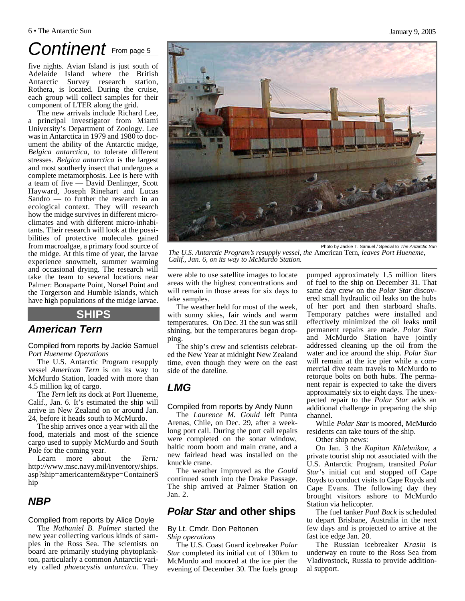# Continent **From page 5**

five nights. Avian Island is just south of Adelaide Island where the British Antarctic Survey research station, Rothera, is located. During the cruise, each group will collect samples for their component of LTER along the grid.

The new arrivals include Richard Lee, a principal investigator from Miami University's Department of Zoology. Lee was in Antarctica in 1979 and 1980 to document the ability of the Antarctic midge, *Belgica antarctica*, to tolerate different stresses. *Belgica antarctica* is the largest and most southerly insect that undergoes a complete metamorphosis. Lee is here with a team of five — David Denlinger, Scott Hayward, Joseph Rinehart and Lucas Sandro — to further the research in an ecological context. They will research how the midge survives in different microclimates and with different micro-inhabitants. Their research will look at the possibilities of protective molecules gained from macroalgae, a primary food source of the midge. At this time of year, the larvae experience snowmelt, summer warming and occasional drying. The research will take the team to several locations near Palmer: Bonaparte Point, Norsel Point and the Torgerson and Humble islands, which have high populations of the midge larvae.

#### **SHIPS**

### *American Tern*

Compiled from reports by Jackie Samuel *Port Hueneme Operations* 

The U.S. Antarctic Program resupply vessel *American Tern* is on its way to McMurdo Station, loaded with more than 4.5 million kg of cargo.

The *Tern* left its dock at Port Hueneme, Calif., Jan. 6. It's estimated the ship will arrive in New Zealand on or around Jan. 24, before it heads south to McMurdo.

The ship arrives once a year with all the food, materials and most of the science cargo used to supply McMurdo and South Pole for the coming year.

Learn more about the *Tern:* http://www.msc.navy.mil/inventory/ships. asp?ship=americantern&type=ContainerS hip

### *NBP*

#### Compiled from reports by Alice Doyle

The *Nathaniel B. Palmer* started the new year collecting various kinds of samples in the Ross Sea. The scientists on board are primarily studying phytoplankton, particularly a common Antarctic variety called *phaeocystis antarctica*. They were able to use satellite images to locate areas with the highest concentrations and will remain in those areas for six days to *Calif., Jan. 6, on its way to McMurdo Station.*

take samples. The weather held for most of the week, with sunny skies, fair winds and warm temperatures. On Dec. 31 the sun was still shining, but the temperatures began dropping.

The ship's crew and scientists celebrated the New Year at midnight New Zealand time, even though they were on the east side of the dateline.

## *LMG*

Compiled from reports by Andy Nunn

The *Laurence M. Gould* left Punta Arenas, Chile, on Dec. 29, after a weeklong port call. During the port call repairs were completed on the sonar window, baltic room boom and main crane, and a new fairlead head was installed on the knuckle crane.

The weather improved as the *Gould* continued south into the Drake Passage. The ship arrived at Palmer Station on Jan. 2.

#### *Polar Star* **and other ships**

By Lt. Cmdr. Don Peltonen *Ship operations*

The U.S. Coast Guard icebreaker *Polar Star* completed its initial cut of 130km to McMurdo and moored at the ice pier the evening of December 30. The fuels group

pumped approximately 1.5 million liters of fuel to the ship on December 31. That same day crew on the *Polar Star* discovered small hydraulic oil leaks on the hubs of her port and then starboard shafts. Temporary patches were installed and effectively minimized the oil leaks until permanent repairs are made. *Polar Star* and McMurdo Station have jointly addressed cleaning up the oil from the water and ice around the ship. *Polar Star* will remain at the ice pier while a commercial dive team travels to McMurdo to retorque bolts on both hubs. The permanent repair is expected to take the divers approximately six to eight days. The unexpected repair to the *Polar Star* adds an additional challenge in preparing the ship channel.

While *Polar Star* is moored, McMurdo residents can take tours of the ship.

Other ship news:

On Jan. 3 the *Kapitan Khlebnikov*, a private tourist ship not associated with the U.S. Antarctic Program, transited *Polar Star*'s initial cut and stopped off Cape Royds to conduct visits to Cape Royds and Cape Evans. The following day they brought visitors ashore to McMurdo Station via helicopter.

The fuel tanker *Paul Buck* is scheduled to depart Brisbane, Australia in the next few days and is projected to arrive at the fast ice edge Jan. 20.

The Russian icebreaker *Krasin* is underway en route to the Ross Sea from Vladivostock, Russia to provide additional support.



Photo by Jackie T. Samuel / Special to *The Antarctic Sun The U.S. Antarctic Program's resupply vessel, the* American Tern*, leaves Port Hueneme,*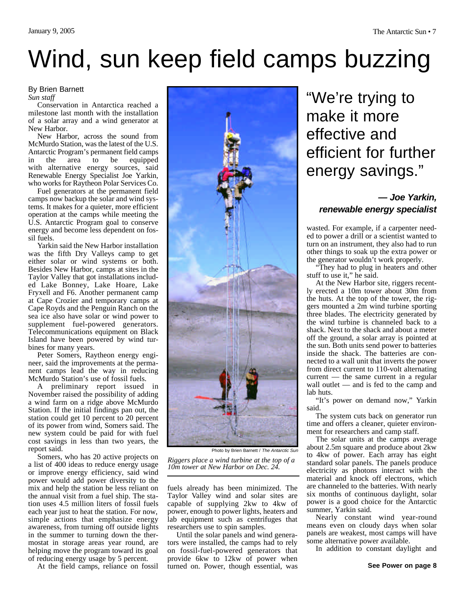#### By Brien Barnett

*Sun staff*

Conservation in Antarctica reached a milestone last month with the installation of a solar array and a wind generator at New Harbor.

New Harbor, across the sound from McMurdo Station, was the latest of the U.S. Antarctic Program's permanent field camps in the area to be equipped with alternative energy sources, said Renewable Energy Specialist Joe Yarkin, who works for Raytheon Polar Services Co.

Fuel generators at the permanent field camps now backup the solar and wind systems. It makes for a quieter, more efficient operation at the camps while meeting the U.S. Antarctic Program goal to conserve energy and become less dependent on fossil fuels.

Yarkin said the New Harbor installation was the fifth Dry Valleys camp to get either solar or wind systems or both. Besides New Harbor, camps at sites in the Taylor Valley that got installations included Lake Bonney, Lake Hoare, Lake Fryxell and F6. Another permanent camp at Cape Crozier and temporary camps at Cape Royds and the Penguin Ranch on the sea ice also have solar or wind power to supplement fuel-powered generators. Telecommunications equipment on Black Island have been powered by wind turbines for many years.

Peter Somers, Raytheon energy engineer, said the improvements at the permanent camps lead the way in reducing McMurdo Station's use of fossil fuels.

A preliminary report issued in November raised the possibility of adding a wind farm on a ridge above McMurdo Station. If the initial findings pan out, the station could get 10 percent to 20 percent of its power from wind, Somers said. The new system could be paid for with fuel cost savings in less than two years, the report said.

Somers, who has 20 active projects on a list of 400 ideas to reduce energy usage or improve energy efficiency, said wind power would add power diversity to the mix and help the station be less reliant on the annual visit from a fuel ship. The station uses 4.5 million liters of fossil fuels each year just to heat the station. For now, simple actions that emphasize energy awareness, from turning off outside lights in the summer to turning down the thermostat in storage areas year round, are helping move the program toward its goal of reducing energy usage by 5 percent.

At the field camps, reliance on fossil



Photo by Brien Barnett / *The Antarctic Sun*

*Riggers place a wind turbine at the top of a 10m tower at New Harbor on Dec. 24.*

fuels already has been minimized. The Taylor Valley wind and solar sites are capable of supplying 2kw to 4kw of power, enough to power lights, heaters and lab equipment such as centrifuges that researchers use to spin samples.

Until the solar panels and wind generators were installed, the camps had to rely on fossil-fuel-powered generators that provide 6kw to 12kw of power when turned on. Power, though essential, was

# "We're trying to make it more effective and efficient for further energy savings."

### *— Joe Yarkin, renewable energy specialist*

wasted. For example, if a carpenter needed to power a drill or a scientist wanted to turn on an instrument, they also had to run other things to soak up the extra power or the generator wouldn't work properly.

"They had to plug in heaters and other stuff to use it," he said.

At the New Harbor site, riggers recently erected a 10m tower about 30m from the huts. At the top of the tower, the riggers mounted a 2m wind turbine sporting three blades. The electricity generated by the wind turbine is channeled back to a shack. Next to the shack and about a meter off the ground, a solar array is pointed at the sun. Both units send power to batteries inside the shack. The batteries are connected to a wall unit that inverts the power from direct current to 110-volt alternating current — the same current in a regular wall outlet — and is fed to the camp and lab huts.

"It's power on demand now," Yarkin said.

The system cuts back on generator run time and offers a cleaner, quieter environment for researchers and camp staff.

The solar units at the camps average about 2.5m square and produce about 2kw to 4kw of power. Each array has eight standard solar panels. The panels produce electricity as photons interact with the material and knock off electrons, which are channeled to the batteries. With nearly six months of continuous daylight, solar power is a good choice for the Antarctic summer, Yarkin said.

Nearly constant wind year-round means even on cloudy days when solar panels are weakest, most camps will have some alternative power available.

In addition to constant daylight and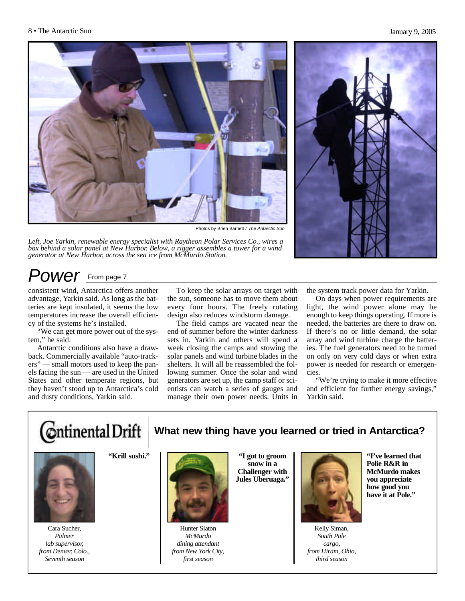

Photos by Brien Barnett / *The Antarctic Sun*

*Left, Joe Yarkin, renewable energy specialist with Raytheon Polar Services Co., wires a box behind a solar panel at New Harbor. Below, a rigger assembles a tower for a wind generator at New Harbor, across the sea ice from McMurdo Station.*



## *Power* From page 7

consistent wind, Antarctica offers another advantage, Yarkin said. As long as the batteries are kept insulated, it seems the low temperatures increase the overall efficiency of the systems he's installed.

"We can get more power out of the system," he said.

Antarctic conditions also have a drawback. Commercially available "auto-trackers" — small motors used to keep the panels facing the sun — are used in the United States and other temperate regions, but they haven't stood up to Antarctica's cold and dusty conditions, Yarkin said.

To keep the solar arrays on target with the sun, someone has to move them about every four hours. The freely rotating design also reduces windstorm damage.

The field camps are vacated near the end of summer before the winter darkness sets in. Yarkin and others will spend a week closing the camps and stowing the solar panels and wind turbine blades in the shelters. It will all be reassembled the following summer. Once the solar and wind generators are set up, the camp staff or scientists can watch a series of gauges and manage their own power needs. Units in the system track power data for Yarkin.

On days when power requirements are light, the wind power alone may be enough to keep things operating. If more is needed, the batteries are there to draw on. If there's no or little demand, the solar array and wind turbine charge the batteries. The fuel generators need to be turned on only on very cold days or when extra power is needed for research or emergencies.

"We're trying to make it more effective and efficient for further energy savings," Yarkin said.



## **What new thing have you learned or tried in Antarctica?**



Cara Sucher, *Palmer lab supervisor, from Denver, Colo., Seventh season*

**"Krill sushi."**



Hunter Slaton *McMurdo dining attendant from New York City, first season*

**"I got to groom snow in a Challenger with Jules Uberuaga."**



Kelly Siman, *South Pole cargo, from Hiram, Ohio, third season*

**"I've learned that Polie R&R in McMurdo makes you appreciate how good you have it at Pole."**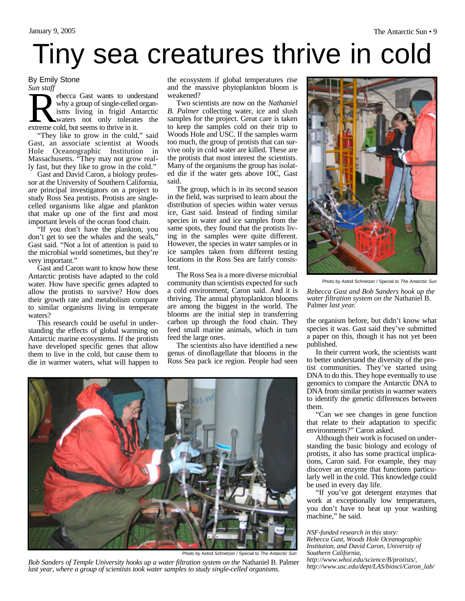# Tiny sea creatures thrive in cold

#### By Emily Stone *Sun staff*

Surf stagged ebecca Gast wants to und why a group of single-celled<br>
isms living in frigid Are<br>
waters not only tolerate<br>
extreme cold, but seems to thrive in it. ebecca Gast wants to understand why a group of single-celled organisms living in frigid Antarctic waters not only tolerates the

"They like to grow in the cold," said Gast, an associate scientist at Woods Hole Oceanographic Institution in Massachusetts. "They may not grow really fast, but they like to grow in the cold."

Gast and David Caron, a biology professor at the University of Southern California, are principal investigators on a project to study Ross Sea protists. Protists are singlecelled organisms like algae and plankton that make up one of the first and most important levels of the ocean food chain.

"If you don't have the plankton, you don't get to see the whales and the seals," Gast said. "Not a lot of attention is paid to the microbial world sometimes, but they're very important."

Gast and Caron want to know how these Antarctic protists have adapted to the cold water. How have specific genes adapted to allow the protists to survive? How does their growth rate and metabolism compare to similar organisms living in temperate waters?

This research could be useful in understanding the effects of global warming on Antarctic marine ecosystems. If the protists have developed specific genes that allow them to live in the cold, but cause them to die in warmer waters, what will happen to

the ecosystem if global temperatures rise and the massive phytoplankton bloom is weakened?

Two scientists are now on the *Nathaniel B. Palmer* collecting water, ice and slush samples for the project. Great care is taken to keep the samples cold on their trip to Woods Hole and USC. If the samples warm too much, the group of protists that can survive only in cold water are killed. These are the protists that most interest the scientists. Many of the organisms the group has isolated die if the water gets above 10C, Gast said.

The group, which is in its second season in the field, was surprised to learn about the distribution of species within water versus ice, Gast said. Instead of finding similar species in water and ice samples from the same spots, they found that the protists living in the samples were quite different. However, the species in water samples or in ice samples taken from different testing locations in the Ross Sea are fairly consistent.

The Ross Sea is a more diverse microbial community than scientists expected for such a cold environment, Caron said. And it is thriving. The annual phytoplankton blooms are among the biggest in the world. The blooms are the initial step in transferring carbon up through the food chain. They feed small marine animals, which in turn feed the large ones.

The scientists also have identified a new genus of dinoflagellate that blooms in the Ross Sea pack ice region. People had seen



Photo by Astrid Schnetzer / Special to *The Antarctic Sun*

*Rebecca Gast and Bob Sanders hook up the water filtration system on the* Nathaniel B. Palmer *last year.*

the organism before, but didn't know what species it was. Gast said they've submitted a paper on this, though it has not yet been published.

In their current work, the scientists want to better understand the diversity of the protist communities. They've started using DNA to do this. They hope eventually to use genomics to compare the Antarctic DNA to DNA from similar protists in warmer waters to identify the genetic differences between them.

"Can we see changes in gene function that relate to their adaptation to specific environments?" Caron asked.

Although their work is focused on understanding the basic biology and ecology of protists, it also has some practical implications, Caron said. For example, they may discover an enzyme that functions particularly well in the cold. This knowledge could be used in every day life.

"If you've got detergent enzymes that work at exceptionally low temperatures, you don't have to heat up your washing machine," he said.

#### *NSF-funded research in this story: Rebecca Gast, Woods Hole Oceanographic Institution, and David Caron, University of Southern California,*

*http://www.whoi.edu/science/B/protists/,*



Photo by Astrid Schnetzer / Special to *The Antarctic Sun*

Bob Sanders of Temple University hooks up a water filtration system on the Nathaniel B. Palmer *last year, where a group of scientists took water samples to study single-celled organisms.*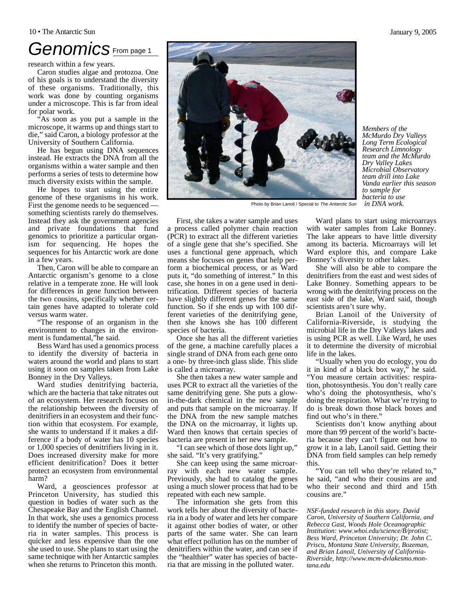#### 10 • The Antarctic Sun January 9, 2005

## *Genomics* From page 1

research within a few years.

Caron studies algae and protozoa. One of his goals is to understand the diversity of these organisms. Traditionally, this work was done by counting organisms under a microscope. This is far from ideal for polar work.

"As soon as you put a sample in the microscope, it warms up and things start to die," said Caron, a biology professor at the University of Southern California.

He has begun using DNA sequences instead. He extracts the DNA from all the organisms within a water sample and then performs a series of tests to determine how much diversity exists within the sample.

He hopes to start using the entire genome of these organisms in his work. First the genome needs to be sequenced something scientists rarely do themselves. Instead they ask the government agencies and private foundations that fund genomics to prioritize a particular organism for sequencing. He hopes the sequences for his Antarctic work are done in a few years.

Then, Caron will be able to compare an Antarctic organism's genome to a close relative in a temperate zone. He will look for differences in gene function between the two cousins, specifically whether certain genes have adapted to tolerate cold versus warm water.

"The response of an organism in the environment to changes in the environment is fundamental,"he said.

Bess Ward has used a genomics process to identify the diversity of bacteria in waters around the world and plans to start using it soon on samples taken from Lake Bonney in the Dry Valleys.

Ward studies denitrifying bacteria, which are the bacteria that take nitrates out of an ecosystem. Her research focuses on the relationship between the diversity of denitrifiers in an ecosystem and their function within that ecosystem. For example, she wants to understand if it makes a difference if a body of water has 10 species or 1,000 species of denitrifiers living in it. Does increased diversity make for more efficient denitrification? Does it better protect an ecosystem from environmental harm?

Ward, a geosciences professor at Princeton University, has studied this question in bodies of water such as the Chesapeake Bay and the English Channel. In that work, she uses a genomics process to identify the number of species of bacteria in water samples. This process is quicker and less expensive than the one she used to use. She plans to start using the same technique with her Antarctic samples when she returns to Princeton this month.

First, she takes a water sample and uses a process called polymer chain reaction (PCR) to extract all the different varieties of a single gene that she's specified. She uses a functional gene approach, which means she focuses on genes that help perform a biochemical process, or as Ward puts it, "do something of interest." In this case, she hones in on a gene used in denitrification. Different species of bacteria have slightly different genes for the same function. So if she ends up with 100 different varieties of the denitrifying gene, then she knows she has 100 different species of bacteria.

Once she has all the different varieties of the gene, a machine carefully places a single strand of DNA from each gene onto a one- by three-inch glass slide. This slide is called a microarray.

She then takes a new water sample and uses PCR to extract all the varieties of the same denitrifying gene. She puts a glowin-the-dark chemical in the new sample and puts that sample on the microarray. If the DNA from the new sample matches the DNA on the microarray, it lights up. Ward then knows that certain species of bacteria are present in her new sample.

"I can see which of those dots light up," she said. "It's very gratifying."

She can keep using the same microarray with each new water sample. Previously, she had to catalog the genes using a much slower process that had to be repeated with each new sample.

The information she gets from this work tells her about the diversity of bacteria in a body of water and lets her compare it against other bodies of water, or other parts of the same water. She can learn what effect pollution has on the number of denitrifiers within the water, and can see if the "healthier" water has species of bacteria that are missing in the polluted water.

Ward plans to start using microarrays with water samples from Lake Bonney. The lake appears to have little diversity among its bacteria. Microarrays will let Ward explore this, and compare Lake Bonney's diversity to other lakes.

She will also be able to compare the denitrifiers from the east and west sides of Lake Bonney. Something appears to be wrong with the denitrifying process on the east side of the lake, Ward said, though scientists aren't sure why.

Brian Lanoil of the University of California-Riverside, is studying the microbial life in the Dry Valleys lakes and is using PCR as well. Like Ward, he uses it to determine the diversity of microbial life in the lakes.

"Usually when you do ecology, you do it in kind of a black box way," he said. "You measure certain activities: respiration, photosynthesis. You don't really care who's doing the photosynthesis, who's doing the respiration. What we're trying to do is break down those black boxes and find out who's in there."

Scientists don't know anything about more than 99 percent of the world's bacteria because they can't figure out how to grow it in a lab, Lanoil said. Getting their DNA from field samples can help remedy this.

"You can tell who they're related to," he said, "and who their cousins are and who their second and third and 15th cousins are.'

*NSF-funded research in this story. David Caron, University of Southern California, and Rebecca Gast, Woods Hole Oceanographic Institution: www.whoi.edu/science/B/protist; Bess Ward, Princeton University; Dr. John C. Priscu, Montana State University, Bozeman, and Brian Lanoil, University of California-Riverside, http://www.mcm-dvlakesmo.montana.edu*

Photo by Brian Lanoil / Special to *The Antarctic Sun* 



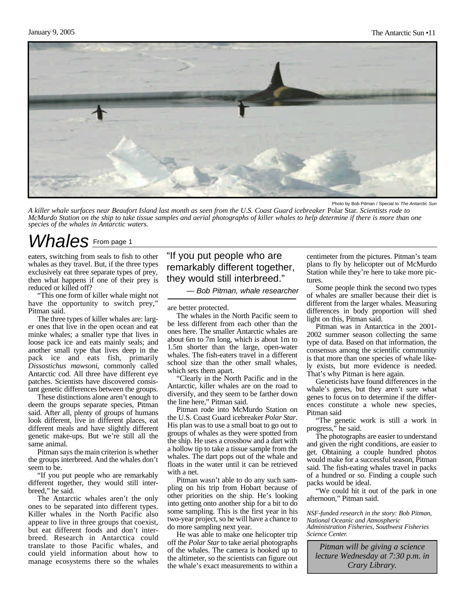

Photo by Bob Pitman / Special to *The Antarctic Sun*

*A killer whale surfaces near Beaufort Island last month as seen from the U.S. Coast Guard icebreaker* Polar Star*. Scientists rode to McMurdo Station on the ship to take tissue samples and aerial photographs of killer whales to help determine if there is more than one species of the whales in Antarctic waters.*

# *Whales* From page 1

eaters, switching from seals to fish to other whales as they travel. But, if the three types exclusively eat three separate types of prey, then what happens if one of their prey is reduced or killed off?

"This one form of killer whale might not have the opportunity to switch prey," Pitman said.

The three types of killer whales are: larger ones that live in the open ocean and eat minke whales; a smaller type that lives in loose pack ice and eats mainly seals; and another small type that lives deep in the pack ice and eats fish, primarily *Dissostichus mawsoni*, commonly called Antarctic cod. All three have different eye patches. Scientists have discovered consistant genetic differences between the groups.

These distinctions alone aren't enough to deem the groups separate species, Pitman said. After all, plenty of groups of humans look different, live in different places, eat different meals and have slightly different genetic make-ups. But we're still all the same animal.

Pitman says the main criterion is whether the groups interbreed. And the whales don't seem to be.

"If you put people who are remarkably different together, they would still interbreed," he said.

The Antarctic whales aren't the only ones to be separated into different types. Killer whales in the North Pacific also appear to live in three groups that coexist, but eat different foods and don't interbreed. Research in Antarctica could translate to those Pacific whales, and could yield information about how to manage ecosystems there so the whales

#### "If you put people who are remarkably different together, they would still interbreed."

*— Bob Pitman, whale researcher* 

are better protected.

The whales in the North Pacific seem to be less different from each other than the ones here. The smaller Antarctic whales are about 6m to 7m long, which is about 1m to 1.5m shorter than the large, open-water whales. The fish-eaters travel in a different school size than the other small whales, which sets them apart.

"Clearly in the North Pacific and in the Antarctic, killer whales are on the road to diversify, and they seem to be farther down the line here," Pitman said.

Pitman rode into McMurdo Station on the U.S. Coast Guard icebreaker *Polar Star*. His plan was to use a small boat to go out to groups of whales as they were spotted from the ship. He uses a crossbow and a dart with a hollow tip to take a tissue sample from the whales. The dart pops out of the whale and floats in the water until it can be retrieved with a net.

Pitman wasn't able to do any such sampling on his trip from Hobart because of other priorities on the ship. He's looking into getting onto another ship for a bit to do some sampling. This is the first year in his two-year project, so he will have a chance to do more sampling next year.

He was able to make one helicopter trip off the *Polar Star* to take aerial photographs of the whales. The camera is hooked up to the altimeter, so the scientists can figure out the whale's exact measurements to within a centimeter from the pictures. Pitman's team plans to fly by helicopter out of McMurdo Station while they're here to take more pictures.

Some people think the second two types of whales are smaller because their diet is different from the larger whales. Measuring differences in body proportion will shed light on this, Pitman said.

Pitman was in Antarctica in the 2001- 2002 summer season collecting the same type of data. Based on that information, the consensus among the scientific community is that more than one species of whale likely exists, but more evidence is needed. That's why Pitman is here again.

Geneticists have found differences in the whale's genes, but they aren't sure what genes to focus on to determine if the differences constitute a whole new species, Pitman said

"The genetic work is still a work in progress," he said.

The photographs are easier to understand and given the right conditions, are easier to get. Obtaining a couple hundred photos would make for a successful season, Pitman said. The fish-eating whales travel in packs of a hundred or so. Finding a couple such packs would be ideal.

"We could hit it out of the park in one afternoon," Pitman said.

*NSF-funded research in the story: Bob Pitman, National Oceanic and Atmospheric Administration Fisheries, Southwest Fisheries Science Center.*

*Pitman will be giving a science lecture Wednesday at 7:30 p.m. in Crary Library.*